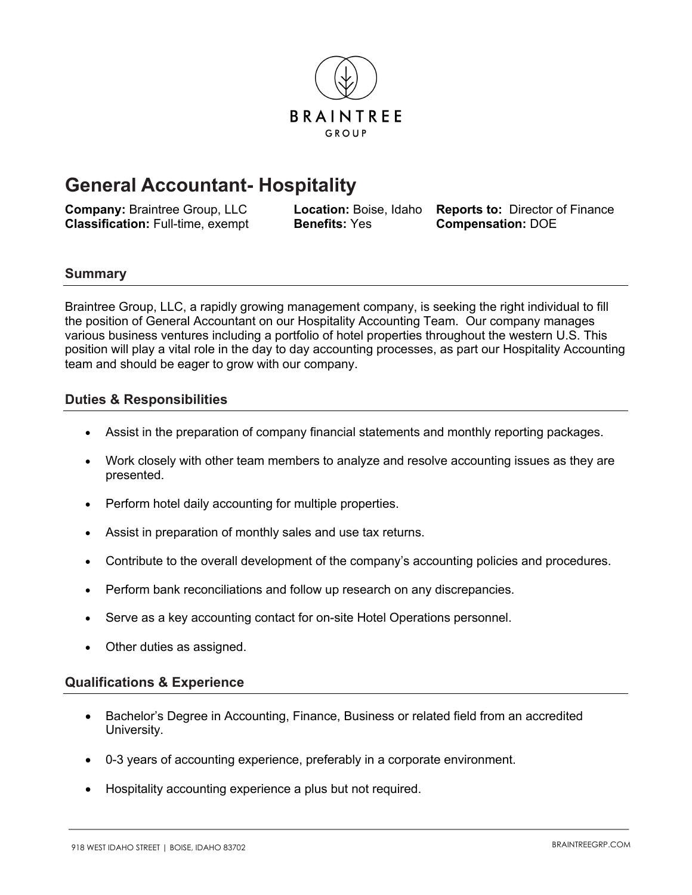

# **General Accountant- Hospitality**

**Company:** Braintree Group, LLC **Location:** Boise, Idaho **Reports to:** Director of Finance **Classification:** Full-time, exempt **Benefits:** Yes **Compensation:** DOE

### **Summary**

Braintree Group, LLC, a rapidly growing management company, is seeking the right individual to fill the position of General Accountant on our Hospitality Accounting Team. Our company manages various business ventures including a portfolio of hotel properties throughout the western U.S. This position will play a vital role in the day to day accounting processes, as part our Hospitality Accounting team and should be eager to grow with our company.

# **Duties & Responsibilities**

- Assist in the preparation of company financial statements and monthly reporting packages.
- Work closely with other team members to analyze and resolve accounting issues as they are presented.
- Perform hotel daily accounting for multiple properties.
- Assist in preparation of monthly sales and use tax returns.
- Contribute to the overall development of the company's accounting policies and procedures.
- Perform bank reconciliations and follow up research on any discrepancies.
- Serve as a key accounting contact for on-site Hotel Operations personnel.
- Other duties as assigned.

### **Qualifications & Experience**

- Bachelor's Degree in Accounting, Finance, Business or related field from an accredited University.
- 0-3 years of accounting experience, preferably in a corporate environment.
- Hospitality accounting experience a plus but not required.